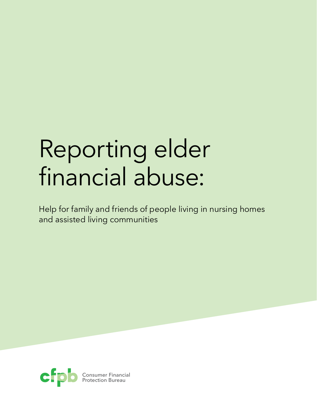# Reporting elder financial abuse:

Help for family and friends of people living in nursing homes and assisted living communities

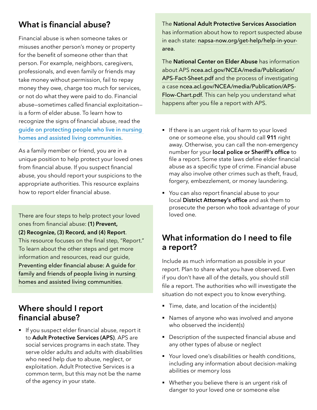# **What is financial abuse?**

Financial abuse is when someone takes or misuses another person's money or property for the benefit of someone other than that person. For example, neighbors, caregivers, professionals, and even family or friends may take money without permission, fail to repay money they owe, charge too much for services, or not do what they were paid to do. Financial abuse—sometimes called financial exploitation is a form of elder abuse. To learn how to recognize the signs of financial abuse, read the [guide on protecting people who live in nursing](https://files.consumerfinance.gov/f/documents/cfpb_preventing-elder-financial-abuse_friends-family-guide.pdf)  [homes and assisted living communities](https://files.consumerfinance.gov/f/documents/cfpb_preventing-elder-financial-abuse_friends-family-guide.pdf).

As a family member or friend, you are in a unique position to help protect your loved ones from financial abuse. If you suspect financial abuse, you should report your suspicions to the appropriate authorities. This resource explains how to report elder financial abuse.

There are four steps to help protect your loved ones from financial abuse: **(1) Prevent, (2) Recognize, (3) Record, and (4) Report**. This resource focuses on the final step, "Report." To learn about the other steps and get more information and resources, read our guide, Preventing elder financial abuse: A guide for family and friends of people living in nursing homes and assisted living communities.

# **Where should I report financial abuse?**

■ If you suspect elder financial abuse, report it to **Adult Protective Services (APS)**. APS are social services programs in each state. They serve older adults and adults with disabilities who need help due to abuse, neglect, or exploitation. Adult Protective Services is a common term, but this may not be the name of the agency in your state.

The **National Adult Protective Services Association** has information about how to report suspected abuse in each state: [napsa-now.org/get-help/help-in-your](http://napsa-now.org/get-help/help-in-your-area)[area](http://napsa-now.org/get-help/help-in-your-area).

The **National Center on Elder Abuse** has information about APS [ncea.acl.gov/NCEA/media/Publication/](http://ncea.acl.gov/NCEA/media/Publication/APS-Fact-Sheet.pdf) [APS-Fact-Sheet.pdf](http://ncea.acl.gov/NCEA/media/Publication/APS-Fact-Sheet.pdf) and the process of investigating a case [ncea.acl.gov/NCEA/media/Publication/APS-](http://ncea.acl.gov/NCEA/media/Publication/APS-Flow-Chart.pdf)[Flow-Chart.pdf](http://ncea.acl.gov/NCEA/media/Publication/APS-Flow-Chart.pdf). This can help you understand what happens after you file a report with APS.

- If there is an urgent risk of harm to your loved one or someone else, you should call **911** right away. Otherwise, you can call the non-emergency number for your **local police or Sheriff's office** to file a report. Some state laws define elder financial abuse as a specific type of crime. Financial abuse may also involve other crimes such as theft, fraud, forgery, embezzlement, or money laundering.
- You can also report financial abuse to your local **District Attorney's office** and ask them to prosecute the person who took advantage of your loved one.

# **What information do I need to file a report?**

Include as much information as possible in your report. Plan to share what you have observed. Even if you don't have all of the details, you should still file a report. The authorities who will investigate the situation do not expect you to know everything.

- Time, date, and location of the incident(s)
- Names of anyone who was involved and anyone who observed the incident(s)
- Description of the suspected financial abuse and any other types of abuse or neglect
- Your loved one's disabilities or health conditions, including any information about decision-making abilities or memory loss
- Whether you believe there is an urgent risk of danger to your loved one or someone else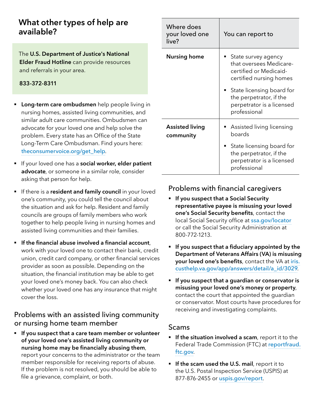# **What other types of help are available?**

The **U.S. Department of Justice's National Elder Fraud Hotline** can provide resources and referrals in your area.

**833-372-8311**

- **Example 1 Long-term care ombudsmen** help people living in nursing homes, assisted living communities, and similar adult care communities. Ombudsmen can advocate for your loved one and help solve the problem. Every state has an Office of the State Long-Term Care Ombudsman. Find yours here: t[heconsumervoice.org/get\\_help](http://theconsumervoice.org/get_help).
- § If your loved one has a **social worker, elder patient advocate**, or someone in a similar role, consider asking that person for help.
- **F** If there is a **resident and family council** in your loved one's community, you could tell the council about the situation and ask for help. Resident and family councils are groups of family members who work together to help people living in nursing homes and assisted living communities and their families.
- **EXTE:** If the financial abuse involved a financial account, work with your loved one to contact their bank, credit union, credit card company, or other financial services provider as soon as possible. Depending on the situation, the financial institution may be able to get your loved one's money back. You can also check whether your loved one has any insurance that might cover the loss.

#### Problems with an assisted living community or nursing home team member

§ **If you suspect that a care team member or volunteer of your loved one's assisted living community or nursing home may be financially abusing them**, report your concerns to the administrator or the team member responsible for receiving reports of abuse. If the problem is not resolved, you should be able to file a grievance, complaint, or both.

| Where does<br>your loved one<br>live? | You can report to                                                                                                                                                                                       |
|---------------------------------------|---------------------------------------------------------------------------------------------------------------------------------------------------------------------------------------------------------|
| <b>Nursing home</b>                   | State survey agency<br>that oversees Medicare-<br>certified or Medicaid-<br>certified nursing homes<br>$\;\;\bar{}\;$ State licensing board for<br>the perpetrator, if the<br>perpetrator is a licensed |
|                                       | professional                                                                                                                                                                                            |
| <b>Assisted living</b><br>community   | Assisted living licensing<br>boards                                                                                                                                                                     |
|                                       | State licensing board for<br>the perpetrator, if the<br>perpetrator is a licensed<br>professional                                                                                                       |

#### Problems with financial caregivers

- § **If you suspect that a Social Security representative payee is misusing your loved one's Social Security benefits**, contact the local Social Security office at [ssa.gov/locator](http://ssa.gov/locator) or call the Social Security Administration at 800-772-1213.
- § **If you suspect that a fiduciary appointed by the Department of Veterans Affairs (VA) is misusing your loved one's benefits**, contact the VA at [iris.](https://iris.custhelp.va.gov/app/answers/detail/a_id/3029) [custhelp.va.gov/app/answers/detail/a\\_id/3029](https://iris.custhelp.va.gov/app/answers/detail/a_id/3029).
- § **If you suspect that a guardian or conservator is misusing your loved one's money or property**, contact the court that appointed the guardian or conservator. Most courts have procedures for receiving and investigating complaints.

#### Scams

- **If the situation involved a scam**, report it to the Federal Trade Commission (FTC) at reportfraud. [ftc.gov](http://reportfraud.ftc.gov).
- **F** If the scam used the U.S. mail, report it to the U.S. Postal Inspection Service (USPIS) at 877-876-2455 or [uspis.gov/report](http://uspis.gov/report).